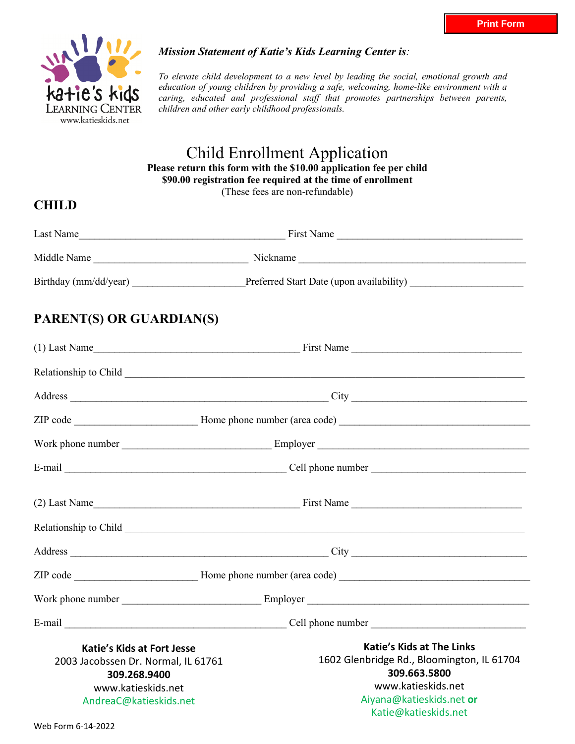

#### *Mission Statement of Katie's Kids Learning Center is:*

*To elevate child development to a new level by leading the social, emotional growth and education of young children by providing a safe, welcoming, home-like environment with a caring, educated and professional staff that promotes partnerships between parents, children and other early childhood professionals.* 

## Child Enrollment Application **Please return this form with the \$10.00 application fee per child \$90.00 registration fee required at the time of enrollment**  (These fees are non-refundable)

# **CHILD**

| Last Name             | First Name                               |  |
|-----------------------|------------------------------------------|--|
| Middle Name           | Nickname                                 |  |
| Birthday (mm/dd/year) | Preferred Start Date (upon availability) |  |

# **PARENT(S) OR GUARDIAN(S)**

|                                     | $(1)$ Last Name                                                                                                |  |  |  |  |  |  |
|-------------------------------------|----------------------------------------------------------------------------------------------------------------|--|--|--|--|--|--|
|                                     |                                                                                                                |  |  |  |  |  |  |
|                                     |                                                                                                                |  |  |  |  |  |  |
|                                     |                                                                                                                |  |  |  |  |  |  |
|                                     |                                                                                                                |  |  |  |  |  |  |
|                                     |                                                                                                                |  |  |  |  |  |  |
|                                     | $(2)$ Last Name                                                                                                |  |  |  |  |  |  |
|                                     |                                                                                                                |  |  |  |  |  |  |
|                                     |                                                                                                                |  |  |  |  |  |  |
|                                     |                                                                                                                |  |  |  |  |  |  |
|                                     |                                                                                                                |  |  |  |  |  |  |
|                                     | E-mail $\frac{1}{\sqrt{1-\frac{1}{2}}}\left\{\text{Cell phone number } \frac{1}{\sqrt{1-\frac{1}{2}}}\right\}$ |  |  |  |  |  |  |
| <b>Katie's Kids at Fort Jesse</b>   | <b>Katie's Kids at The Links</b>                                                                               |  |  |  |  |  |  |
| 2003 Jacobssen Dr. Normal, IL 61761 | 1602 Glenbridge Rd., Bloomington, IL 61704                                                                     |  |  |  |  |  |  |
| 309.268.9400                        | 309.663.5800                                                                                                   |  |  |  |  |  |  |
| www.katieskids.net                  | www.katieskids.net                                                                                             |  |  |  |  |  |  |
| AndreaC@katieskids.net              | Aiyana@katieskids.net or                                                                                       |  |  |  |  |  |  |
|                                     | Katie@katieskids.net                                                                                           |  |  |  |  |  |  |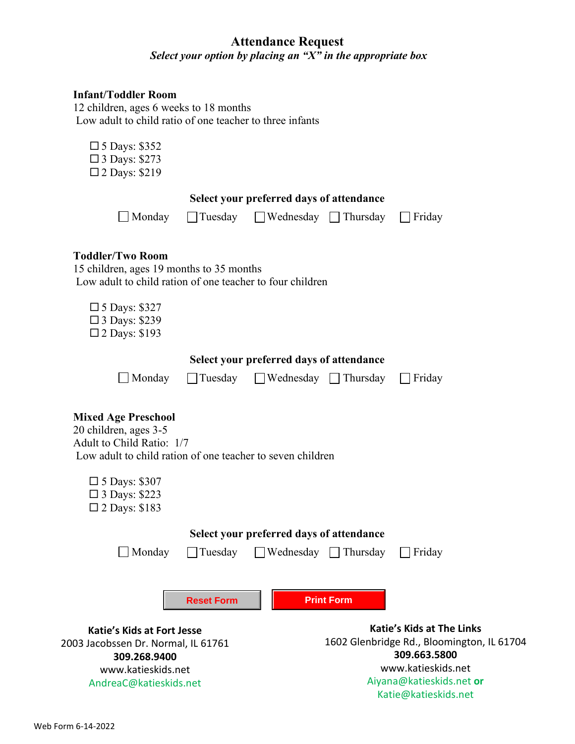# **Attendance Request**  *Select your option by placing an "X" in the appropriate box*

## **Infant/Toddler Room**

 12 children, ages 6 weeks to 18 months Low adult to child ratio of one teacher to three infants

| $\Box$ 5 Days: \$352<br>$\Box$ 3 Days: \$273<br>$\square$ 2 Days: \$219                                                                        |                                          |                                          |                   |                                            |  |  |
|------------------------------------------------------------------------------------------------------------------------------------------------|------------------------------------------|------------------------------------------|-------------------|--------------------------------------------|--|--|
|                                                                                                                                                |                                          | Select your preferred days of attendance |                   |                                            |  |  |
| $\Box$ Monday                                                                                                                                  |                                          | □ Tuesday □ Wednesday □ Thursday         |                   | $\Box$ Friday                              |  |  |
| <b>Toddler/Two Room</b><br>15 children, ages 19 months to 35 months<br>Low adult to child ration of one teacher to four children               |                                          |                                          |                   |                                            |  |  |
| $\Box$ 5 Days: \$327<br>$\square$ 3 Days: \$239<br>$\square$ 2 Days: \$193                                                                     |                                          |                                          |                   |                                            |  |  |
|                                                                                                                                                | Select your preferred days of attendance |                                          |                   |                                            |  |  |
| $\Box$ Monday                                                                                                                                  | $\Box$ Tuesday                           | $\Box$ Wednesday $\Box$ Thursday         |                   | Friday                                     |  |  |
| <b>Mixed Age Preschool</b><br>20 children, ages 3-5<br>Adult to Child Ratio: 1/7<br>Low adult to child ration of one teacher to seven children |                                          |                                          |                   |                                            |  |  |
| $\Box$ 5 Days: \$307<br>$\Box$ 3 Days: \$223<br>$\square$ 2 Days: \$183                                                                        |                                          |                                          |                   |                                            |  |  |
| Select your preferred days of attendance                                                                                                       |                                          |                                          |                   |                                            |  |  |
| Monday                                                                                                                                         |                                          | Tuesday □ Wednesday □ Thursday           |                   | Friday                                     |  |  |
|                                                                                                                                                | <b>Reset Form</b>                        |                                          | <b>Print Form</b> |                                            |  |  |
| <b>Katie's Kids at Fort Jesse</b>                                                                                                              |                                          |                                          |                   | <b>Katie's Kids at The Links</b>           |  |  |
| 2003 Jacobssen Dr. Normal, IL 61761                                                                                                            |                                          |                                          |                   | 1602 Glenbridge Rd., Bloomington, IL 61704 |  |  |
| 309.268.9400<br>www.katieskids.net                                                                                                             |                                          |                                          |                   | 309.663.5800<br>www.katieskids.net         |  |  |
| AndreaC@katieskids.net                                                                                                                         |                                          |                                          |                   | Aiyana@katieskids.net or                   |  |  |

Katie@katieskids.net